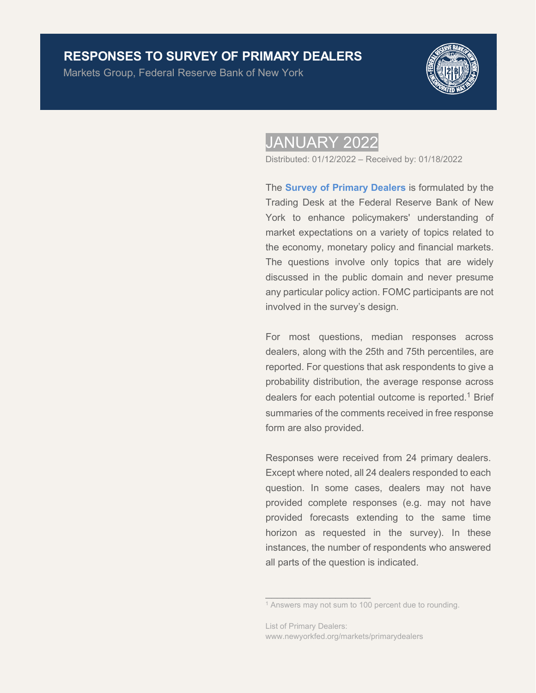# **RESPONSES TO SURVEY OF PRIMARY DEALERS**

Markets Group, Federal Reserve Bank of New York



# JANUARY 2022

Distributed: 01/12/2022 – Received by: 01/18/2022

The **[Survey of Primary Dealers](https://www.newyorkfed.org/markets/primarydealer_survey_questions.html)** is formulated by the Trading Desk at the Federal Reserve Bank of New York to enhance policymakers' understanding of market expectations on a variety of topics related to the economy, monetary policy and financial markets. The questions involve only topics that are widely discussed in the public domain and never presume any particular policy action. FOMC participants are not involved in the survey's design.

For most questions, median responses across dealers, along with the 25th and 75th percentiles, are reported. For questions that ask respondents to give a probability distribution, the average response across dealers for each potential outcome is reported.<sup>1</sup> Brief summaries of the comments received in free response form are also provided.

Responses were received from 24 primary dealers. Except where noted, all 24 dealers responded to each question. In some cases, dealers may not have provided complete responses (e.g. may not have provided forecasts extending to the same time horizon as requested in the survey). In these instances, the number of respondents who answered all parts of the question is indicated.

 $\overline{\phantom{a}}$  , which is a set of the set of the set of the set of the set of the set of the set of the set of the set of the set of the set of the set of the set of the set of the set of the set of the set of the set of th

<sup>&</sup>lt;sup>1</sup> Answers may not sum to 100 percent due to rounding.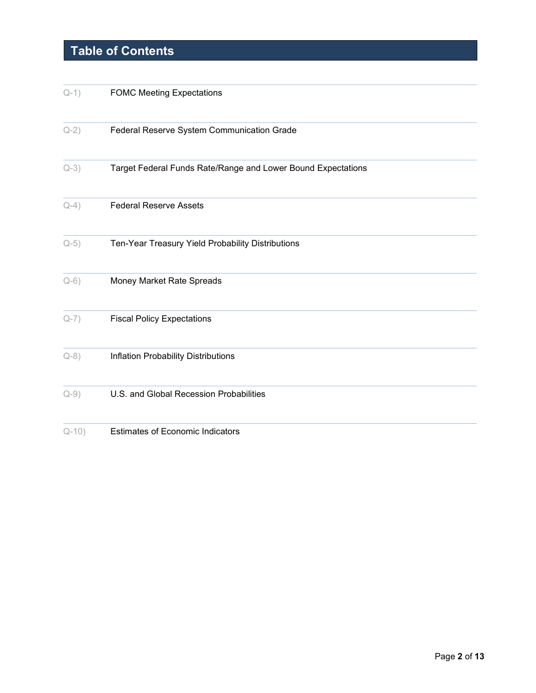# **Table of Contents**

| $Q-1)$   | <b>FOMC Meeting Expectations</b>                             |
|----------|--------------------------------------------------------------|
| $Q-2)$   | Federal Reserve System Communication Grade                   |
| $Q-3)$   | Target Federal Funds Rate/Range and Lower Bound Expectations |
| $Q-4)$   | <b>Federal Reserve Assets</b>                                |
| $Q-5)$   | Ten-Year Treasury Yield Probability Distributions            |
| $Q-6)$   | Money Market Rate Spreads                                    |
| $Q-7)$   | <b>Fiscal Policy Expectations</b>                            |
| $Q - 8)$ | Inflation Probability Distributions                          |
| $Q-9)$   | U.S. and Global Recession Probabilities                      |
| $Q-10$   | <b>Estimates of Economic Indicators</b>                      |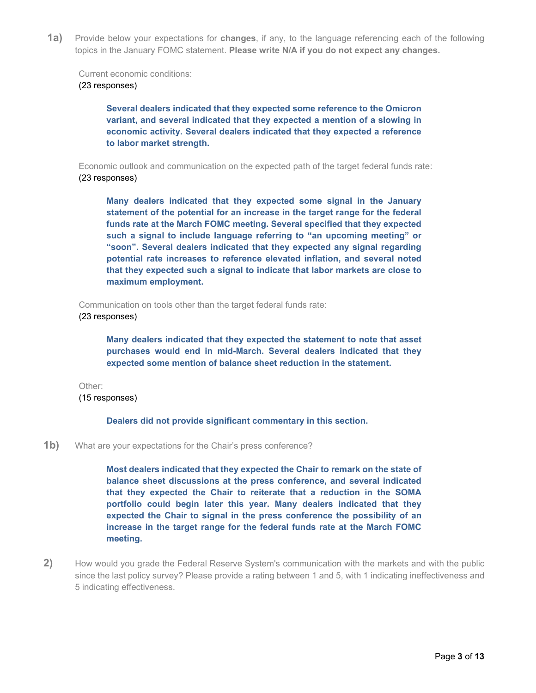<span id="page-2-0"></span>**1a)** Provide below your expectations for **changes**, if any, to the language referencing each of the following topics in the January FOMC statement. **Please write N/A if you do not expect any changes.**

Current economic conditions:

#### (23 responses)

**Several dealers indicated that they expected some reference to the Omicron variant, and several indicated that they expected a mention of a slowing in economic activity. Several dealers indicated that they expected a reference to labor market strength.** 

Economic outlook and communication on the expected path of the target federal funds rate: (23 responses)

**Many dealers indicated that they expected some signal in the January statement of the potential for an increase in the target range for the federal funds rate at the March FOMC meeting. Several specified that they expected such a signal to include language referring to "an upcoming meeting" or "soon". Several dealers indicated that they expected any signal regarding potential rate increases to reference elevated inflation, and several noted that they expected such a signal to indicate that labor markets are close to maximum employment.** 

Communication on tools other than the target federal funds rate: (23 responses)

> **Many dealers indicated that they expected the statement to note that asset purchases would end in mid-March. Several dealers indicated that they expected some mention of balance sheet reduction in the statement.**

Other: (15 responses)

#### **Dealers did not provide significant commentary in this section.**

#### **1b)** What are your expectations for the Chair's press conference?

**Most dealers indicated that they expected the Chair to remark on the state of balance sheet discussions at the press conference, and several indicated that they expected the Chair to reiterate that a reduction in the SOMA portfolio could begin later this year. Many dealers indicated that they expected the Chair to signal in the press conference the possibility of an increase in the target range for the federal funds rate at the March FOMC meeting.**

<span id="page-2-1"></span>**2)** How would you grade the Federal Reserve System's communication with the markets and with the public since the last policy survey? Please provide a rating between 1 and 5, with 1 indicating ineffectiveness and 5 indicating effectiveness.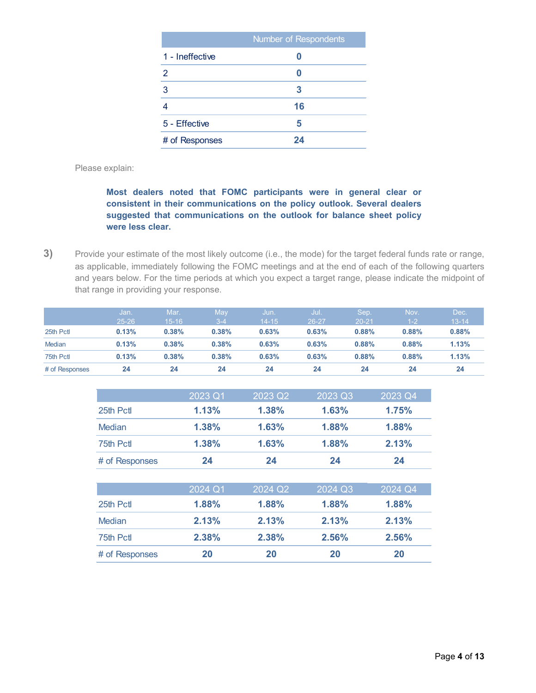|                 | Number of Respondents |
|-----------------|-----------------------|
| 1 - Ineffective |                       |
| 2               |                       |
| 3               | 3                     |
|                 | 16                    |
| 5 - Effective   | 5                     |
| # of Responses  | 24                    |

Please explain:

### **Most dealers noted that FOMC participants were in general clear or consistent in their communications on the policy outlook. Several dealers suggested that communications on the outlook for balance sheet policy were less clear.**

<span id="page-3-0"></span>**3)** Provide your estimate of the most likely outcome (i.e., the mode) for the target federal funds rate or range, as applicable, immediately following the FOMC meetings and at the end of each of the following quarters and years below. For the time periods at which you expect a target range, please indicate the midpoint of that range in providing your response.

|                | Uan<br>$25 - 26$ | Mar.<br>$15 - 16$ | May<br>$3 - 4$ | มนิท.'<br>$14 - 15$ | Jul.<br>26-27 | Sep.<br>$20 - 21$ | Nov.<br>$1 - 2$ | Dec.<br>$13 - 14$ |
|----------------|------------------|-------------------|----------------|---------------------|---------------|-------------------|-----------------|-------------------|
| 25th Pctl      | 0.13%            | 0.38%             | 0.38%          | 0.63%               | 0.63%         | 0.88%             | 0.88%           | 0.88%             |
| <b>Median</b>  | 0.13%            | 0.38%             | 0.38%          | 0.63%               | 0.63%         | 0.88%             | 0.88%           | 1.13%             |
| 75th Pctl      | 0.13%            | 0.38%             | 0.38%          | 0.63%               | 0.63%         | 0.88%             | 0.88%           | 1.13%             |
| # of Responses | 24               | 24                | 24             | 24                  | 24            | 24                | 24              | 24                |

|                | 2023 Q1 | 2023 Q2 | 2023 Q3 | 2023 Q4 |
|----------------|---------|---------|---------|---------|
| 25th Pct       | 1.13%   | 1.38%   | 1.63%   | 1.75%   |
| Median         | 1.38%   | 1.63%   | 1.88%   | 1.88%   |
| 75th Pctl      | 1.38%   | 1.63%   | 1.88%   | 2.13%   |
| # of Responses | 24      | 24      | 24      | 24      |

|                | 2024 Q1 | 2024 Q2 | 2024 Q3 | 2024 Q4 |
|----------------|---------|---------|---------|---------|
| 25th Pctl      | 1.88%   | 1.88%   | 1.88%   | 1.88%   |
| Median         | 2.13%   | 2.13%   | 2.13%   | 2.13%   |
| 75th Pctl      | 2.38%   | 2.38%   | 2.56%   | 2.56%   |
| # of Responses | 20      | 20      | 20      | 20      |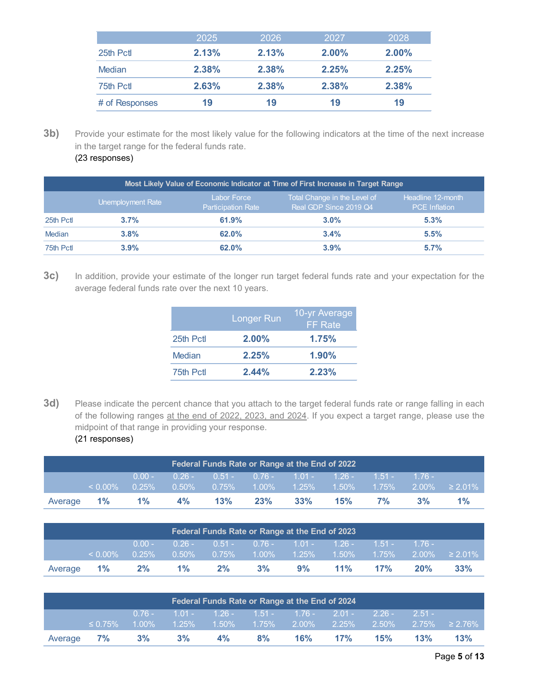|                | 2025  | 2026  | 2027     | 2028     |
|----------------|-------|-------|----------|----------|
| 25th Pctl      | 2.13% | 2.13% | $2.00\%$ | $2.00\%$ |
| <b>Median</b>  | 2.38% | 2.38% | 2.25%    | 2.25%    |
| 75th Pctl      | 2.63% | 2.38% | 2.38%    | 2.38%    |
| # of Responses | 19    | 19    | 19       | 19       |

**3b)** Provide your estimate for the most likely value for the following indicators at the time of the next increase in the target range for the federal funds rate.

|  | (23 responses) |  |
|--|----------------|--|
|--|----------------|--|

| Most Likely Value of Economic Indicator at Time of First Increase in Target Range |                   |                                          |                                                        |                                           |  |  |  |  |  |
|-----------------------------------------------------------------------------------|-------------------|------------------------------------------|--------------------------------------------------------|-------------------------------------------|--|--|--|--|--|
|                                                                                   | Unemployment Rate | Labor Force<br><b>Participation Rate</b> | Total Change in the Level of<br>Real GDP Since 2019 Q4 | Headline 12-month<br><b>PCE</b> Inflation |  |  |  |  |  |
| 25th Pctl                                                                         | 3.7%              | 61.9%                                    | $3.0\%$                                                | 5.3%                                      |  |  |  |  |  |
| <b>Median</b>                                                                     | 3.8%              | 62.0%                                    | $3.4\%$                                                | 5.5%                                      |  |  |  |  |  |
| 75th Pctl                                                                         | 3.9%              | $62.0\%$                                 | 3.9%                                                   | 5.7%                                      |  |  |  |  |  |

**3c)** In addition, provide your estimate of the longer run target federal funds rate and your expectation for the average federal funds rate over the next 10 years.

|           | <b>Longer Run</b> | 10-yr Average<br><b>FF</b> Rate |
|-----------|-------------------|---------------------------------|
| 25th Pctl | $2.00\%$          | 1.75%                           |
| Median    | 2.25%             | $1.90\%$                        |
| 75th Pctl | 2.44%             | 2.23%                           |

**3d)** Please indicate the percent chance that you attach to the target federal funds rate or range falling in each of the following ranges at the end of 2022, 2023, and 2024. If you expect a target range, please use the midpoint of that range in providing your response. (21 responses)

| Federal Funds Rate or Range at the End of 2022 |            |          |          |                                                    |     |     |     |    |    |                                                            |
|------------------------------------------------|------------|----------|----------|----------------------------------------------------|-----|-----|-----|----|----|------------------------------------------------------------|
|                                                |            | $0.00 -$ |          | $0.26 - 0.51 - 0.76 - 1.01 - 1.26 - 1.51 - 1.76 -$ |     |     |     |    |    |                                                            |
|                                                | $< 0.00\%$ | $0.25\%$ | $0.50\%$ | $0.75\%$                                           |     |     |     |    |    | $1.00\%$ $1.25\%$ $1.50\%$ $1.75\%$ $2.00\%$ $\geq 2.01\%$ |
| Average                                        | $1\%$      | 1%       | 4%       | 13%                                                | 23% | 33% | 15% | 7% | 3% | $1\%$                                                      |

| Federal Funds Rate or Range at the End of 2023 |            |          |          |          |                                                    |    |        |     |     |                                                            |  |
|------------------------------------------------|------------|----------|----------|----------|----------------------------------------------------|----|--------|-----|-----|------------------------------------------------------------|--|
|                                                |            | $0.00 -$ |          |          | . 0.26 - 0.51 - 0.76 - 1.01 - 1.26 - 1.51 - 1.76 - |    |        |     |     |                                                            |  |
|                                                | $< 0.00\%$ | $0.25\%$ | $0.50\%$ | $0.75\%$ |                                                    |    |        |     |     | $1.00\%$ $1.25\%$ $1.50\%$ $1.75\%$ $2.00\%$ $\geq 2.01\%$ |  |
| Average                                        | $1\%$      | 2%       | $1\%$    | 2%       | 3%                                                 | 9% | $11\%$ | 17% | 20% | 33%                                                        |  |

| Federal Funds Rate or Range at the End of 2024 |               |  |                                                           |    |       |  |         |     |     |                                                                                                                                   |  |
|------------------------------------------------|---------------|--|-----------------------------------------------------------|----|-------|--|---------|-----|-----|-----------------------------------------------------------------------------------------------------------------------------------|--|
|                                                |               |  | $0.76 - 1.01 - 1.26 - 1.51 - 1.76 - 2.01 - 2.26 - 2.51 -$ |    |       |  |         |     |     |                                                                                                                                   |  |
|                                                | $\leq 0.75\%$ |  |                                                           |    |       |  |         |     |     | $\frac{1}{2}$ 1.00%              1.25%        1.50%        1.75%        2.00%        2.25%        2.50%        2.75%        2.76% |  |
|                                                | Average 7% 3% |  | $3\%$                                                     | 4% | $8\%$ |  | 16% 17% | 15% | 13% | 13%                                                                                                                               |  |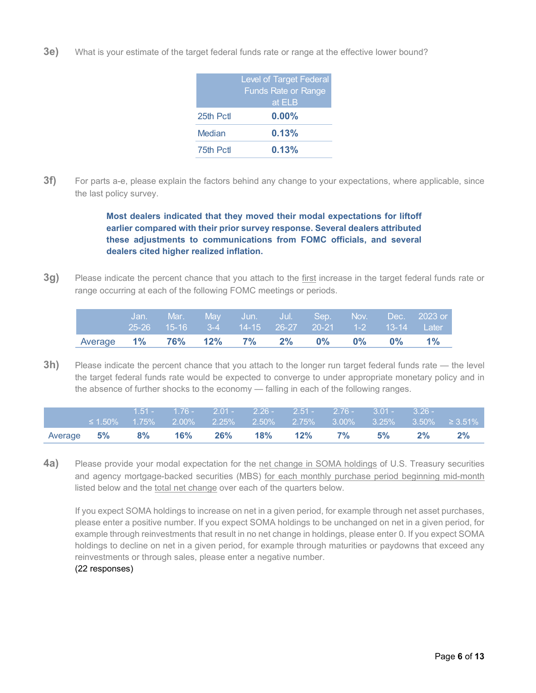**3e)** What is your estimate of the target federal funds rate or range at the effective lower bound?

|               | <b>Level of Target Federal</b><br><b>Funds Rate or Range</b><br>at ELB |
|---------------|------------------------------------------------------------------------|
| 25th Pctl     | $0.00\%$                                                               |
| <b>Median</b> | 0.13%                                                                  |
| 75th Pctl     | 0.13%                                                                  |

**3f)** For parts a-e, please explain the factors behind any change to your expectations, where applicable, since the last policy survey.

> **Most dealers indicated that they moved their modal expectations for liftoff earlier compared with their prior survey response. Several dealers attributed these adjustments to communications from FOMC officials, and several dealers cited higher realized inflation.**

**3g)** Please indicate the percent chance that you attach to the first increase in the target federal funds rate or range occurring at each of the following FOMC meetings or periods.

|                                      |  |  |  |  | , Jan. Mār. May Jun. Ju <u>l. Sep. Nov. Dec. 2023</u> -or<br>25-26 15-16 3-4 14-15 26-27 20-21 1-2 13-14 Later |
|--------------------------------------|--|--|--|--|----------------------------------------------------------------------------------------------------------------|
| Average 1% 76% 12% 7% 2% 0% 0% 0% 1% |  |  |  |  |                                                                                                                |

**3h)** Please indicate the percent chance that you attach to the longer run target federal funds rate — the level the target federal funds rate would be expected to converge to under appropriate monetary policy and in the absence of further shocks to the economy — falling in each of the following ranges.

|                                     |  |  | $1.51 - 1.76 - 2.01 - 2.26 - 2.51 - 2.76 - 3.01 - 3.26 -$ |  |       |                                                                               |
|-------------------------------------|--|--|-----------------------------------------------------------|--|-------|-------------------------------------------------------------------------------|
|                                     |  |  |                                                           |  |       | $\leq$ 1.50%  1.75%  2.00%  2.25%  2.50%  2.75%  3.00%  3.25%  3.50%  ≥ 3.51% |
| Average 5% 8% 16% 26% 18% 12% 7% 5% |  |  |                                                           |  | $2\%$ | 2%                                                                            |

<span id="page-5-0"></span>**4a)** Please provide your modal expectation for the net change in SOMA holdings of U.S. Treasury securities and agency mortgage-backed securities (MBS) for each monthly purchase period beginning mid-month listed below and the total net change over each of the quarters below.

If you expect SOMA holdings to increase on net in a given period, for example through net asset purchases, please enter a positive number. If you expect SOMA holdings to be unchanged on net in a given period, for example through reinvestments that result in no net change in holdings, please enter 0. If you expect SOMA holdings to decline on net in a given period, for example through maturities or paydowns that exceed any reinvestments or through sales, please enter a negative number.

(22 responses)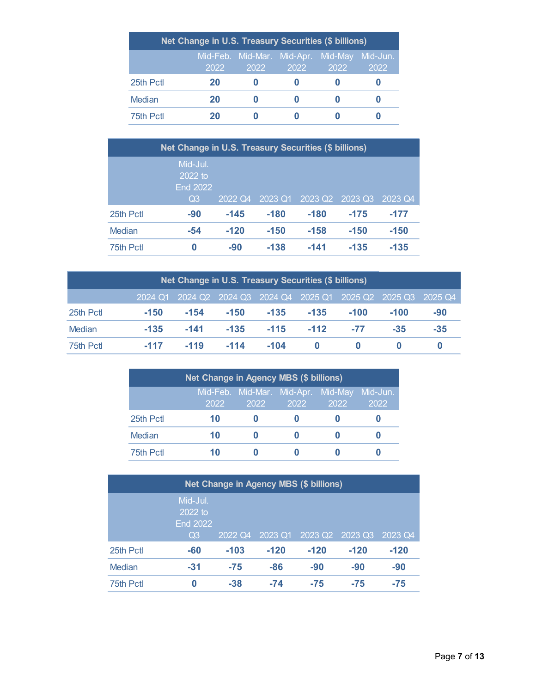| Net Change in U.S. Treasury Securities (\$ billions) |      |                                                     |      |      |      |  |  |  |
|------------------------------------------------------|------|-----------------------------------------------------|------|------|------|--|--|--|
|                                                      | 2022 | Mid-Feb. Mid-Mar. Mid-Apr. Mid-May Mid-Jun.<br>2022 | 2022 | 2022 | 2022 |  |  |  |
| 25th Pctl                                            | 20   |                                                     |      |      |      |  |  |  |
| Median                                               | 20   |                                                     |      |      |      |  |  |  |
| 75th Pctl                                            | 20   |                                                     |      |      |      |  |  |  |

|           | Net Change in U.S. Treasury Securities (\$ billions) |         |         |         |         |         |  |  |
|-----------|------------------------------------------------------|---------|---------|---------|---------|---------|--|--|
|           | Mid-Jul.<br>2022 to<br><b>End 2022</b><br>Q3         | 2022 Q4 | 2023 Q1 | 2023 Q2 | 2023 Q3 | 2023 Q4 |  |  |
| 25th Pctl | $-90$                                                | $-145$  | $-180$  | $-180$  | $-175$  | $-177$  |  |  |
| Median    | $-54$                                                | $-120$  | $-150$  | $-158$  | $-150$  | $-150$  |  |  |
| 75th Pctl | 0                                                    | $-90$   | $-138$  | $-141$  | $-135$  | $-135$  |  |  |

| Net Change in U.S. Treasury Securities (\$ billions) |        |        |        |        |          |        |        |                                                                 |
|------------------------------------------------------|--------|--------|--------|--------|----------|--------|--------|-----------------------------------------------------------------|
|                                                      |        |        |        |        |          |        |        | 2024 Q1 2024 Q2 2024 Q3 2024 Q4 2025 Q1 2025 Q2 2025 Q3 2025 Q4 |
| 25th Pctl                                            | $-150$ | $-154$ | $-150$ | $-135$ | $-135$   | $-100$ | $-100$ | $-90$                                                           |
| Median                                               | $-135$ | $-141$ | $-135$ | $-115$ | $-112$   | $-77$  | $-35$  | $-35$                                                           |
| 75th Pctl                                            | $-117$ | $-119$ | $-114$ | $-104$ | $\Omega$ |        |        |                                                                 |

| Net Change in Agency MBS (\$ billions) |      |                                            |      |      |                  |  |  |  |
|----------------------------------------|------|--------------------------------------------|------|------|------------------|--|--|--|
|                                        | 2022 | Mid-Feb. Mid-Mar. Mid-Apr. Mid-May<br>2022 | 2022 | 2022 | Mid-Jun.<br>2022 |  |  |  |
| 25th Pctl                              | 10   |                                            |      |      |                  |  |  |  |
| Median                                 | 10   |                                            |      |      |                  |  |  |  |
| 75th Pctl                              | 10   |                                            |      |      |                  |  |  |  |

|           | Net Change in Agency MBS (\$ billions) |         |         |                     |         |         |  |
|-----------|----------------------------------------|---------|---------|---------------------|---------|---------|--|
|           | Mid-Jul.<br>2022 to<br><b>End 2022</b> |         |         |                     |         |         |  |
|           | Q <sub>3</sub>                         | 2022 Q4 | 2023 Q1 | 2023 Q <sub>2</sub> | 2023 Q3 | 2023 Q4 |  |
| 25th Pctl | -60                                    | $-103$  | $-120$  | $-120$              | $-120$  | $-120$  |  |
| Median    | $-31$                                  | $-75$   | $-86$   | $-90$               | $-90$   | $-90$   |  |
| 75th Pctl | 0                                      | $-38$   | $-74$   | $-75$               | $-75$   | $-75$   |  |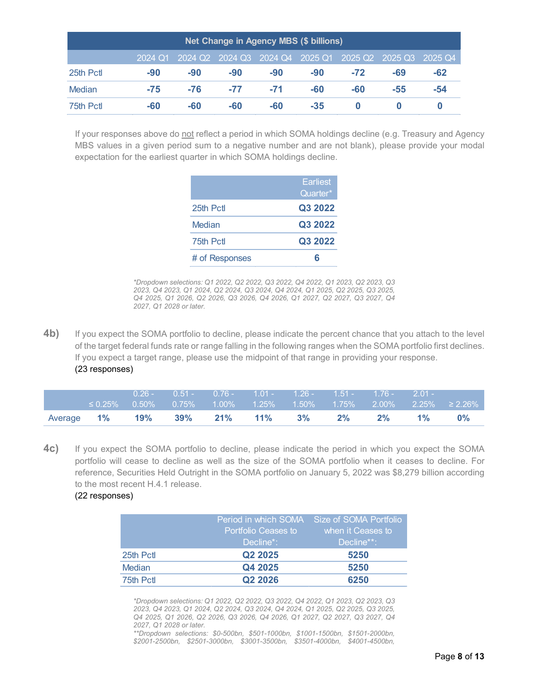| Net Change in Agency MBS (\$ billions) |         |       |                         |       |         |       |                         |     |
|----------------------------------------|---------|-------|-------------------------|-------|---------|-------|-------------------------|-----|
|                                        | 2024 Q1 |       | 2024 Q2 2024 Q3 2024 Q4 |       | 2025 Q1 |       | 2025 Q2 2025 Q3 2025 Q4 |     |
| 25th Pctl                              | $-90$   | $-90$ | $-90$                   | $-90$ | $-90$   | $-72$ | -69                     | -62 |
| Median                                 | $-75$   | $-76$ | $-77$                   | $-71$ | -60     | -60   | -55                     | -54 |
| 75th Pctl                              | $-60$   | -60   | -60                     | -60   | $-35$   |       |                         |     |

If your responses above do not reflect a period in which SOMA holdings decline (e.g. Treasury and Agency MBS values in a given period sum to a negative number and are not blank), please provide your modal expectation for the earliest quarter in which SOMA holdings decline.

|                | <b>Earliest</b><br>Quarter* |
|----------------|-----------------------------|
| 25th Pctl      | Q3 2022                     |
| Median         | Q3 2022                     |
| 75th Pctl      | Q3 2022                     |
| # of Responses | հ                           |

*\*Dropdown selections: Q1 2022, Q2 2022, Q3 2022, Q4 2022, Q1 2023, Q2 2023, Q3 2023, Q4 2023, Q1 2024, Q2 2024, Q3 2024, Q4 2024, Q1 2025, Q2 2025, Q3 2025, Q4 2025, Q1 2026, Q2 2026, Q3 2026, Q4 2026, Q1 2027, Q2 2027, Q3 2027, Q4 2027, Q1 2028 or later.* 

**4b)** If you expect the SOMA portfolio to decline, please indicate the percent chance that you attach to the level of the target federal funds rate or range falling in the following ranges when the SOMA portfolio first declines. If you expect a target range, please use the midpoint of that range in providing your response. (23 responses)

|                   | $\leq 0.25\%$ |                 | 0.26 - 0.51 - 0.76 - 1.01 - 1.26 - 1.51 - 1.76 - 2.01 - |       |       |    |       | $0.50\%$ $0.75\%$ $1.00\%$ $1.25\%$ $1.50\%$ $1.75\%$ $2.00\%$ $2.25\%$ $\geq$ $2.26\%$ |
|-------------------|---------------|-----------------|---------------------------------------------------------|-------|-------|----|-------|-----------------------------------------------------------------------------------------|
| Average <b>1%</b> |               | 19% 39% 21% 11% |                                                         | $3\%$ | $2\%$ | 2% | $1\%$ | $0\%$                                                                                   |

**4c)** If you expect the SOMA portfolio to decline, please indicate the period in which you expect the SOMA portfolio will cease to decline as well as the size of the SOMA portfolio when it ceases to decline. For reference, Securities Held Outright in the SOMA portfolio on January 5, 2022 was \$8,279 billion according to the most recent H.4.1 release.

(22 responses)

|               | <b>Portfolio Ceases to</b>      | Period in which SOMA Size of SOMA Portfolio<br>when it Ceases to |
|---------------|---------------------------------|------------------------------------------------------------------|
|               | Decline*:                       | Decline**:_                                                      |
| 25th Pctl     | Q <sub>2</sub> 20 <sub>25</sub> | 5250                                                             |
| <b>Median</b> | Q4 2025                         | 5250                                                             |
| 75th Pctl     | Q <sub>2</sub> 20 <sub>26</sub> | 6250                                                             |

*\*Dropdown selections: Q1 2022, Q2 2022, Q3 2022, Q4 2022, Q1 2023, Q2 2023, Q3 2023, Q4 2023, Q1 2024, Q2 2024, Q3 2024, Q4 2024, Q1 2025, Q2 2025, Q3 2025, Q4 2025, Q1 2026, Q2 2026, Q3 2026, Q4 2026, Q1 2027, Q2 2027, Q3 2027, Q4 2027, Q1 2028 or later.* 

*\*\*Dropdown selections: \$0-500bn, \$501-1000bn, \$1001-1500bn, \$1501-2000bn, \$2001-2500bn, \$2501-3000bn, \$3001-3500bn, \$3501-4000bn, \$4001-4500bn,*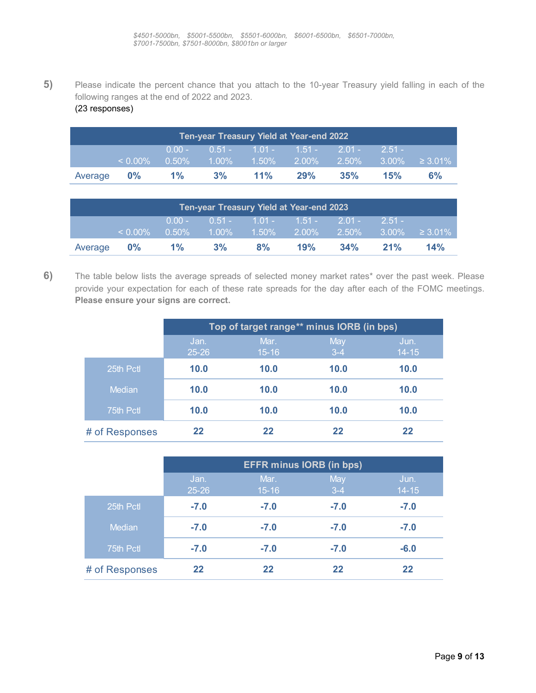<span id="page-8-0"></span>**5)** Please indicate the percent chance that you attach to the 10-year Treasury yield falling in each of the following ranges at the end of 2022 and 2023. (23 responses)

|         | Ten-year Treasury Yield at Year-end 2022 |             |    |                                                            |     |     |            |    |  |  |
|---------|------------------------------------------|-------------|----|------------------------------------------------------------|-----|-----|------------|----|--|--|
|         |                                          | $70.00 - 7$ |    | $1.51 - 1.01 - 1.51 - 2.01 -$                              |     |     | $2.51 - 1$ |    |  |  |
|         | $\leq 0.00\%$                            | 0.50%       |    | $1.00\%$ $1.50\%$ $2.00\%$ $2.50\%$ $3.00\%$ $\geq 3.01\%$ |     |     |            |    |  |  |
| Average | $0\%$                                    | $1\%$       | 3% | $11\%$                                                     | 29% | 35% | 15%        | 6% |  |  |

| <b>Ten-year Treasury Yield at Year-end 2023</b> |               |          |       |                               |     |          |          |                            |
|-------------------------------------------------|---------------|----------|-------|-------------------------------|-----|----------|----------|----------------------------|
|                                                 |               | $0.00 -$ |       | $0.51 - 1.01 - 1.51 - 2.01 -$ |     |          | $2.51 -$ |                            |
|                                                 | $\leq 0.00\%$ | $0.50\%$ |       | $1.00\%$ $1.50\%$ $2.00\%$    |     | $2.50\%$ |          | $3.00\% \quad \geq 3.01\%$ |
| Average 0%                                      |               | $1\%$    | $3\%$ | 8%                            | 19% | 34%      | 21%      | 14%                        |

<span id="page-8-1"></span>**6)** The table below lists the average spreads of selected money market rates\* over the past week. Please provide your expectation for each of these rate spreads for the day after each of the FOMC meetings. **Please ensure your signs are correct.**

|                |           | Top of target range** minus IORB (in bps) |         |           |  |  |  |  |  |
|----------------|-----------|-------------------------------------------|---------|-----------|--|--|--|--|--|
|                | Jan.      | Mar.                                      | May     | Jun.      |  |  |  |  |  |
|                | $25 - 26$ | $15 - 16$                                 | $3 - 4$ | $14 - 15$ |  |  |  |  |  |
| 25th Pctl      | 10.0      | 10.0                                      | 10.0    | 10.0      |  |  |  |  |  |
| Median         | 10.0      | 10.0                                      | 10.0    | 10.0      |  |  |  |  |  |
| 75th Pctl      | 10.0      | 10.0                                      | 10.0    | 10.0      |  |  |  |  |  |
| # of Responses | 22        | 22                                        | 22      | 22        |  |  |  |  |  |

|                | <b>EFFR minus IORB (in bps)</b> |                   |                |                   |  |  |  |  |
|----------------|---------------------------------|-------------------|----------------|-------------------|--|--|--|--|
|                | Jan.<br>$25 - 26$               | Mar.<br>$15 - 16$ | May<br>$3 - 4$ | Jun.<br>$14 - 15$ |  |  |  |  |
| 25th Pctl      | $-7.0$                          | $-7.0$            | $-7.0$         | $-7.0$            |  |  |  |  |
| Median         | $-7.0$                          | $-7.0$            | $-7.0$         | $-7.0$            |  |  |  |  |
| 75th Pctl      | $-7.0$                          | $-7.0$            | $-7.0$         | $-6.0$            |  |  |  |  |
| # of Responses | 22                              | 22                | 22             | 22                |  |  |  |  |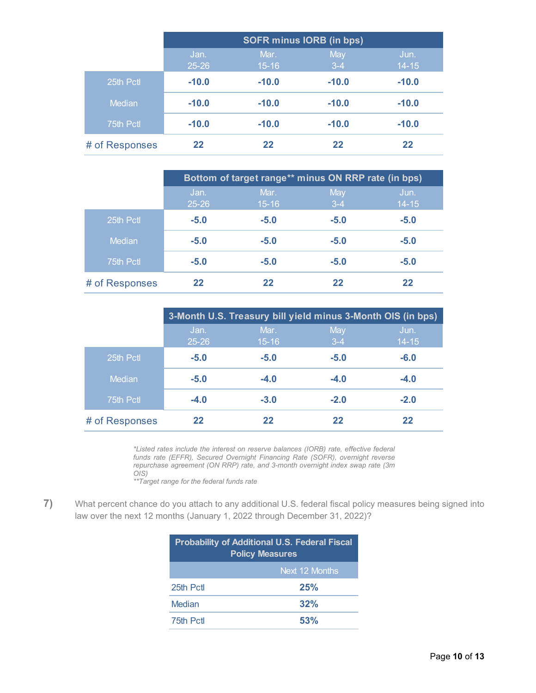|                |                   | <b>SOFR minus IORB (in bps)</b> |              |                   |  |  |  |  |
|----------------|-------------------|---------------------------------|--------------|-------------------|--|--|--|--|
|                | Jan.<br>$25 - 26$ | Mar.<br>$15 - 16$               | May<br>$3-4$ | Jun.<br>$14 - 15$ |  |  |  |  |
| 25th Pctl      | $-10.0$           | $-10.0$                         | $-10.0$      | $-10.0$           |  |  |  |  |
| <b>Median</b>  | $-10.0$           | $-10.0$                         | $-10.0$      | $-10.0$           |  |  |  |  |
| 75th Pctl      | $-10.0$           | $-10.0$                         | $-10.0$      | $-10.0$           |  |  |  |  |
| # of Responses | 22                | 22                              | 22           | 22                |  |  |  |  |

|                |                   | Bottom of target range** minus ON RRP rate (in bps) |                |                   |
|----------------|-------------------|-----------------------------------------------------|----------------|-------------------|
|                | Jan.<br>$25 - 26$ | Mar.<br>$15 - 16$                                   | May<br>$3 - 4$ | Jun.<br>$14 - 15$ |
| 25th Pctl      | $-5.0$            | $-5.0$                                              | $-5.0$         | $-5.0$            |
| Median         | $-5.0$            | $-5.0$                                              | $-5.0$         | $-5.0$            |
| 75th Pctl      | $-5.0$            | $-5.0$                                              | $-5.0$         | $-5.0$            |
| # of Responses | 22                | 22                                                  | 22             | 22                |

|                |                   | 3-Month U.S. Treasury bill yield minus 3-Month OIS (in bps) |                |                   |
|----------------|-------------------|-------------------------------------------------------------|----------------|-------------------|
|                | Jan.<br>$25 - 26$ | Mar.<br>$15 - 16$                                           | May<br>$3 - 4$ | Jun.<br>$14 - 15$ |
| 25th Pctl      | $-5.0$            | $-5.0$                                                      | $-5.0$         | $-6.0$            |
| Median         | $-5.0$            | $-4.0$                                                      | $-4.0$         | $-4.0$            |
| 75th Pctl      | $-4.0$            | $-3.0$                                                      | $-2.0$         | $-2.0$            |
| # of Responses | 22                | 22                                                          | 22             | 22                |

*\*Listed rates include the interest on reserve balances (IORB) rate, effective federal funds rate (EFFR), Secured Overnight Financing Rate (SOFR), overnight reverse repurchase agreement (ON RRP) rate, and 3-month overnight index swap rate (3m OIS)*

*\*\*Target range for the federal funds rate*

<span id="page-9-0"></span>**7)** What percent chance do you attach to any additional U.S. federal fiscal policy measures being signed into law over the next 12 months (January 1, 2022 through December 31, 2022)?

| <b>Probability of Additional U.S. Federal Fiscal</b><br><b>Policy Measures</b> |                |  |  |  |  |
|--------------------------------------------------------------------------------|----------------|--|--|--|--|
|                                                                                | Next 12 Months |  |  |  |  |
| 25th Pctl                                                                      | 25%            |  |  |  |  |
| Median                                                                         | 32%            |  |  |  |  |
| 75th Pctl                                                                      | 53%            |  |  |  |  |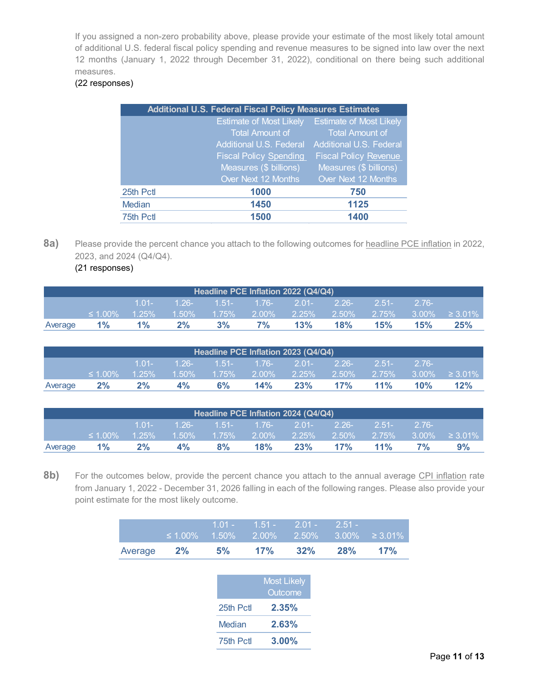If you assigned a non-zero probability above, please provide your estimate of the most likely total amount of additional U.S. federal fiscal policy spending and revenue measures to be signed into law over the next 12 months (January 1, 2022 through December 31, 2022), conditional on there being such additional measures.

## (22 responses)

|               | <b>Additional U.S. Federal Fiscal Policy Measures Estimates</b> |                                |
|---------------|-----------------------------------------------------------------|--------------------------------|
|               | <b>Estimate of Most Likely</b>                                  | <b>Estimate of Most Likely</b> |
|               | <b>Total Amount of</b>                                          | <b>Total Amount of</b>         |
|               | Additional U.S. Federal                                         | Additional U.S. Federal        |
|               | <b>Fiscal Policy Spending</b>                                   | <b>Fiscal Policy Revenue</b>   |
|               | Measures (\$ billions)                                          | Measures (\$ billions)         |
|               | Over Next 12 Months                                             | Over Next 12 Months            |
| 25th Pctl     | 1000                                                            | 750                            |
| <b>Median</b> | 1450                                                            | 1125                           |
| 75th Pctl     | 1500                                                            | 1400                           |

**8a)** Please provide the percent chance you attach to the following outcomes for headline PCE inflation in 2022, 2023, and 2024 (Q4/Q4).

<span id="page-10-0"></span>(21 responses)

| Headline PCE Inflation 2022 (Q4/Q4) |               |       |                                   |    |             |     |     |          |         |                                       |
|-------------------------------------|---------------|-------|-----------------------------------|----|-------------|-----|-----|----------|---------|---------------------------------------|
|                                     |               | 1 01- | , 1.26- 1.51- T.76- 2.01- 2.26- ' |    |             |     |     | $-2.51-$ | $-276-$ |                                       |
|                                     | $\leq 1.00\%$ |       | $1.25\%$ $1.50\%$ $1.75\%$        |    |             |     |     |          |         | 2.00% 2.25% 2.50% 2.75% 3.00% ≥ 3.01% |
| Average                             | $1\%$         | $1\%$ | 2%                                | 3% | 7% <b>7</b> | 13% | 18% | 15%      | 15%     | 25%                                   |

| Headline PCE Inflation 2023 (Q4/Q4) |               |       |                                                 |    |     |     |     |         |            |                                                                                                   |
|-------------------------------------|---------------|-------|-------------------------------------------------|----|-----|-----|-----|---------|------------|---------------------------------------------------------------------------------------------------|
|                                     |               |       | $1.01 - 1.26 - 1.51 - 1.76 - 2.01 - 2.26 - 1.5$ |    |     |     |     | $-2.51$ | $2.76 - 1$ |                                                                                                   |
|                                     | $\leq 1.00\%$ |       |                                                 |    |     |     |     |         |            | $-$ 1.25%      1.50%      1.75%      2.00%      2.25%      2.50%      2.75%    3.00%      ≥ 3.01% |
| Average                             | $2\%$         | $2\%$ | $4\%$                                           | 6% | 14% | 23% | 17% | $11\%$  | $10\%$     | 12%                                                                                               |

| Headline PCE Inflation 2024 (Q4/Q4) |               |       |                                      |    |     |     |        |         |          |    |
|-------------------------------------|---------------|-------|--------------------------------------|----|-----|-----|--------|---------|----------|----|
|                                     |               | 1 01- | $1.26 - 1.51 - 1.76 - 2.01 - 2.26 -$ |    |     |     |        | $-2.51$ | $-2.76-$ |    |
|                                     | $\leq 1.00\%$ |       |                                      |    |     |     |        |         |          |    |
| Average                             | $1\%$         | 2%    | 4%                                   | 8% | 18% | 23% | $17\%$ | $11\%$  | $7\%$    | 9% |

8b) For the outcomes below, provide the percent chance you attach to the annual average CPI inflation rate from January 1, 2022 - December 31, 2026 falling in each of the following ranges. Please also provide your point estimate for the most likely outcome.

|                  | $1.01 - 1.51 - 2.01 - 2.51 -$ |        |            | $\leq 1.00\%$ 1.50% 2.00% 2.50% 3.00% $\geq 3.01\%$ |
|------------------|-------------------------------|--------|------------|-----------------------------------------------------|
| Average $2\%$ 5% | 17%                           | $32\%$ | <b>28%</b> | 17%                                                 |

|           | <b>Most Likely</b><br>Outcome |
|-----------|-------------------------------|
| 25th Pctl | 2.35%                         |
| Median    | 2.63%                         |
| 75th Pctl | $3.00\%$                      |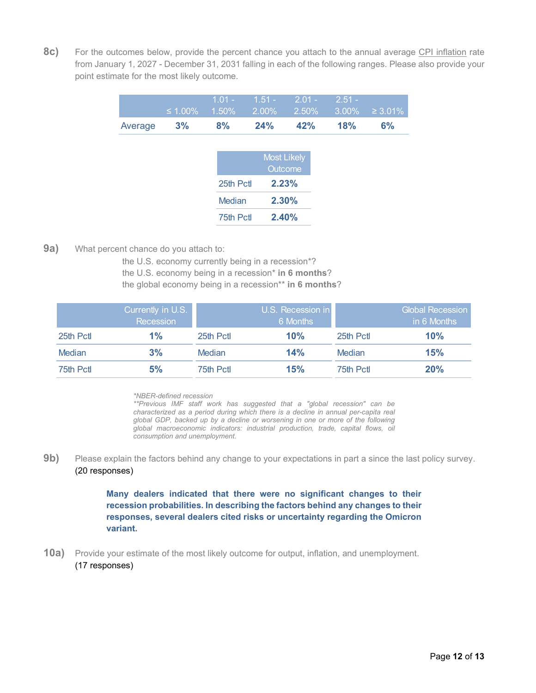**8c)** For the outcomes below, provide the percent chance you attach to the annual average CPI inflation rate from January 1, 2027 - December 31, 2031 falling in each of the following ranges. Please also provide your point estimate for the most likely outcome.

|               | ' 1.01 - 1.51 - 2.01 - 2.51 - 1 |     |     |                                                 |
|---------------|---------------------------------|-----|-----|-------------------------------------------------|
|               |                                 |     |     | $\leq 1.00\%$ 1.50% 2.00% 2.50% 3.00% ≥ 3.01% l |
| Average 3% 8% | $24\%$                          | 42% | 18% | <b>6%</b>                                       |

| 2.23% |
|-------|
|       |
| 2.30% |
| 2.40% |
|       |

### <span id="page-11-0"></span>**9a)** What percent chance do you attach to:

the U.S. economy currently being in a recession\*? the U.S. economy being in a recession\* **in 6 months**? the global economy being in a recession\*\* **in 6 months**?

|               | Currently in U.S.<br>Recession |           | U.S. Recession in<br>6 Months |           | <b>Global Recession</b><br>in 6 Months |
|---------------|--------------------------------|-----------|-------------------------------|-----------|----------------------------------------|
| 25th Pct      | $1\%$                          | 25th Pctl | 10%                           | 25th Pctl | 10%                                    |
| <b>Median</b> | 3%                             | Median    | 14%                           | Median    | 15%                                    |
| 75th Pctl     | 5%                             | 75th Pctl | 15%                           | 75th Pctl | 20%                                    |

*\*NBER-defined recession*

*\*\*Previous IMF staff work has suggested that a "global recession" can be characterized as a period during which there is a decline in annual per-capita real global GDP, backed up by a decline or worsening in one or more of the following global macroeconomic indicators: industrial production, trade, capital flows, oil consumption and unemployment.*

**9b)** Please explain the factors behind any change to your expectations in part a since the last policy survey. (20 responses)

> **Many dealers indicated that there were no significant changes to their recession probabilities. In describing the factors behind any changes to their responses, several dealers cited risks or uncertainty regarding the Omicron variant.**

<span id="page-11-1"></span>**10a)** Provide your estimate of the most likely outcome for output, inflation, and unemployment. (17 responses)